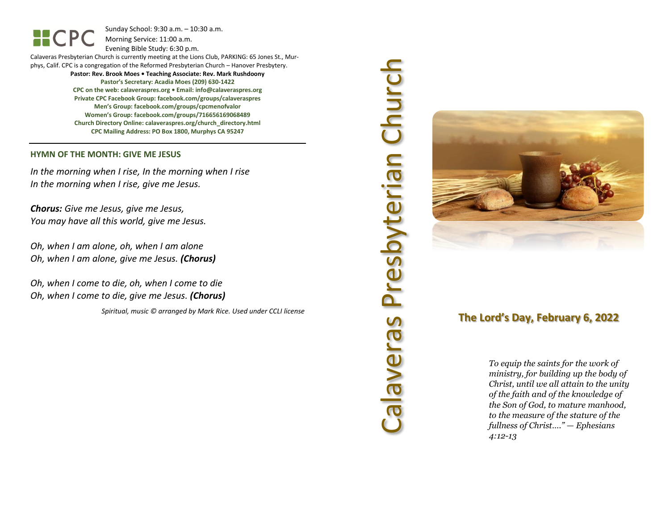Sunday School: 9: 3 0 a.m. – 10:30 a.m. Morning Service: 1 1 :00 a.m.

Evening Bible Study: 6: 30 p.m.

Calaveras Presbyterian Church is currently meeting at the Lions Club, PARKING: 65 Jones St., Murphys, Calif. CPC is a congregation of the Reformed Presbyterian Church – Hanover Presbytery. **Pastor: Rev. Brook Moes • Teaching Associate: Rev. Mark Rushdoony Pastor's Secretary: Acadia Moes (209) 630 -1422 CPC on the web: calaveraspres.org • Email: [info@calaveraspres.org](mailto:info@calaveraspres.org) Private CPC Facebook Group: facebook.com/groups/calaveraspres Men's Group: facebook.com/groups/cpcmenofvalor**

**Women's Group: facebook.com/groups/716656169068489**

**Church Directory Online: calaveraspres.org/church \_directory.html CPC Mailing Address: PO Box 1800, Murphys CA 95247**

### **HYMN OF THE MONTH: GIVE ME JESUS**

HCPC

*In the morning when I rise, In the morning when I rise In the morning when I rise, give me Jesus .*

*Chorus: Give me Jesus, give me Jesus, You may have all this world, give me Jesus .*

*Oh, when I am alone, oh, when I am alone Oh, when I am alone, give me Jesus . (Chorus)*

*Oh, when I come to die, oh, when I come to die Oh, when I come to die, give me Jesus . (Chorus)*

*Spiritual, music © arranged by Mark Rice. Used under CCLI license*

# Calaveras Presbyterian Church Calaveras Presbyterian Churcl



# **The Lord's Day, February 6, 202 2**

*To equip the saints for the work of ministry, for building up the body of Christ, until we all attain to the unity of the faith and of the knowledge of the Son of God, to mature manhood, to the measure of the stature of the fullness of Christ…." — Ephesians 4:12 - 1 3*